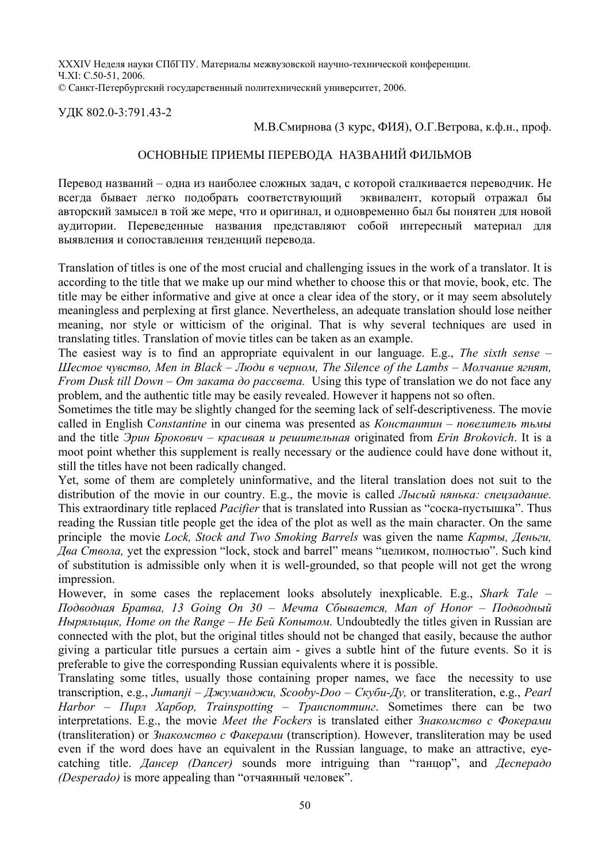XXXIV Неделя науки СПбГПУ. Материалы межвузовской научно-технической конференции. Ч.XI: С.50-51, 2006. © Санкт-Петербургский государственный политехнический университет, 2006.

УДК 802.0-3:791.43-2

## М.В.Смирнова (3 курс, ФИЯ), О.Г.Ветрова, к.ф.н., проф.

## ОСНОВНЫЕ ПРИЕМЫ ПЕРЕВОДА НАЗВАНИЙ ФИЛЬМОВ

Перевод названий – одна из наиболее сложных задач, с которой сталкивается переводчик. Не всегда бывает легко подобрать соответствующий эквивалент, который отражал бы авторский замысел в той же мере, что и оригинал, и одновременно был бы понятен для новой аудитории. Переведенные названия представляют собой интересный материал для выявления и сопоставления тенденций перевода.

Translation of titles is one of the most crucial and challenging issues in the work of a translator. It is according to the title that we make up our mind whether to choose this or that movie, book, etc. The title may be either informative and give at once a clear idea of the story, or it may seem absolutely meaningless and perplexing at first glance. Nevertheless, an adequate translation should lose neither meaning, nor style or witticism of the original. That is why several techniques are used in translating titles. Translation of movie titles can be taken as an example.

The easiest way is to find an appropriate equivalent in our language. E.g., *The sixth sense – Шестое чувство, Men in Black – Люди в черном, The Silence of the Lambs – Молчание ягнят, From Dusk till Down – От заката до рассвета.* Using this type of translation we do not face any problem, and the authentic title may be easily revealed. However it happens not so often.

Sometimes the title may be slightly changed for the seeming lack of self-descriptiveness. The movie called in English C*onstantine* in our cinema was presented as *Константин* – *повелитель тьмы* and the title *Эрин Брокович – красивая и решительная* originated from *Erin Brokovich*. It is a moot point whether this supplement is really necessary or the audience could have done without it, still the titles have not been radically changed.

Yet, some of them are completely uninformative, and the literal translation does not suit to the distribution of the movie in our country. E.g., the movie is called *Лысый нянька: спецзадание.* This extraordinary title replaced *Pacifier* that is translated into Russian as "соска-пустышка". Thus reading the Russian title people get the idea of the plot as well as the main character. On the same principle the movie *Lock, Stock and Two Smoking Barrels* was given the name *Карты, Деньги, Два Ствола,* yet the expression "lock, stock and barrel" means "целиком, полностью". Such kind of substitution is admissible only when it is well-grounded, so that people will not get the wrong impression.

However, in some cases the replacement looks absolutely inexplicable. E.g., *Shark Tale – Подводная Братва, 13 Going On 30 – Мечта Сбывается, Man of Honor – Подводный Ныряльщик, Home on the Range – Не Бей Копытом.* Undoubtedly the titles given in Russian are connected with the plot, but the original titles should not be changed that easily, because the author giving a particular title pursues a certain aim - gives a subtle hint of the future events. So it is preferable to give the corresponding Russian equivalents where it is possible.

Translating some titles, usually those containing proper names, we face the necessity to use transcription, e.g., *Jumanji – Джуманджи, Scooby-Doo – Скуби-Ду,* or transliteration, e.g., *Pearl Harbor – Пирл Харбор, Trainspotting – Транспоттинг*. Sometimes there can be two interpretations. E.g., the movie *Meet the Fockers* is translated either *Знакомство с Фокерами* (transliteration) or *Знакомство с Факерами* (transcription). However, transliteration may be used even if the word does have an equivalent in the Russian language, to make an attractive, eyecatching title. *Дансер (Dancer)* sounds more intriguing than "танцор", and *Десперадо (Desperado)* is more appealing than "отчаянный человек".